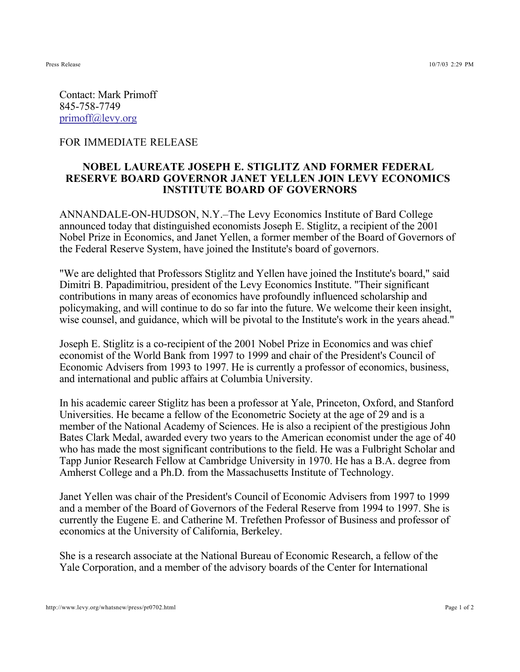Contact: Mark Primoff 845-758-7749 primoff@levy.org

## FOR IMMEDIATE RELEASE

## **NOBEL LAUREATE JOSEPH E. STIGLITZ AND FORMER FEDERAL RESERVE BOARD GOVERNOR JANET YELLEN JOIN LEVY ECONOMICS INSTITUTE BOARD OF GOVERNORS**

ANNANDALE-ON-HUDSON, N.Y.–The Levy Economics Institute of Bard College announced today that distinguished economists Joseph E. Stiglitz, a recipient of the 2001 Nobel Prize in Economics, and Janet Yellen, a former member of the Board of Governors of the Federal Reserve System, have joined the Institute's board of governors.

"We are delighted that Professors Stiglitz and Yellen have joined the Institute's board," said Dimitri B. Papadimitriou, president of the Levy Economics Institute. "Their significant contributions in many areas of economics have profoundly influenced scholarship and policymaking, and will continue to do so far into the future. We welcome their keen insight, wise counsel, and guidance, which will be pivotal to the Institute's work in the years ahead."

Joseph E. Stiglitz is a co-recipient of the 2001 Nobel Prize in Economics and was chief economist of the World Bank from 1997 to 1999 and chair of the President's Council of Economic Advisers from 1993 to 1997. He is currently a professor of economics, business, and international and public affairs at Columbia University.

In his academic career Stiglitz has been a professor at Yale, Princeton, Oxford, and Stanford Universities. He became a fellow of the Econometric Society at the age of 29 and is a member of the National Academy of Sciences. He is also a recipient of the prestigious John Bates Clark Medal, awarded every two years to the American economist under the age of 40 who has made the most significant contributions to the field. He was a Fulbright Scholar and Tapp Junior Research Fellow at Cambridge University in 1970. He has a B.A. degree from Amherst College and a Ph.D. from the Massachusetts Institute of Technology.

Janet Yellen was chair of the President's Council of Economic Advisers from 1997 to 1999 and a member of the Board of Governors of the Federal Reserve from 1994 to 1997. She is currently the Eugene E. and Catherine M. Trefethen Professor of Business and professor of economics at the University of California, Berkeley.

She is a research associate at the National Bureau of Economic Research, a fellow of the Yale Corporation, and a member of the advisory boards of the Center for International